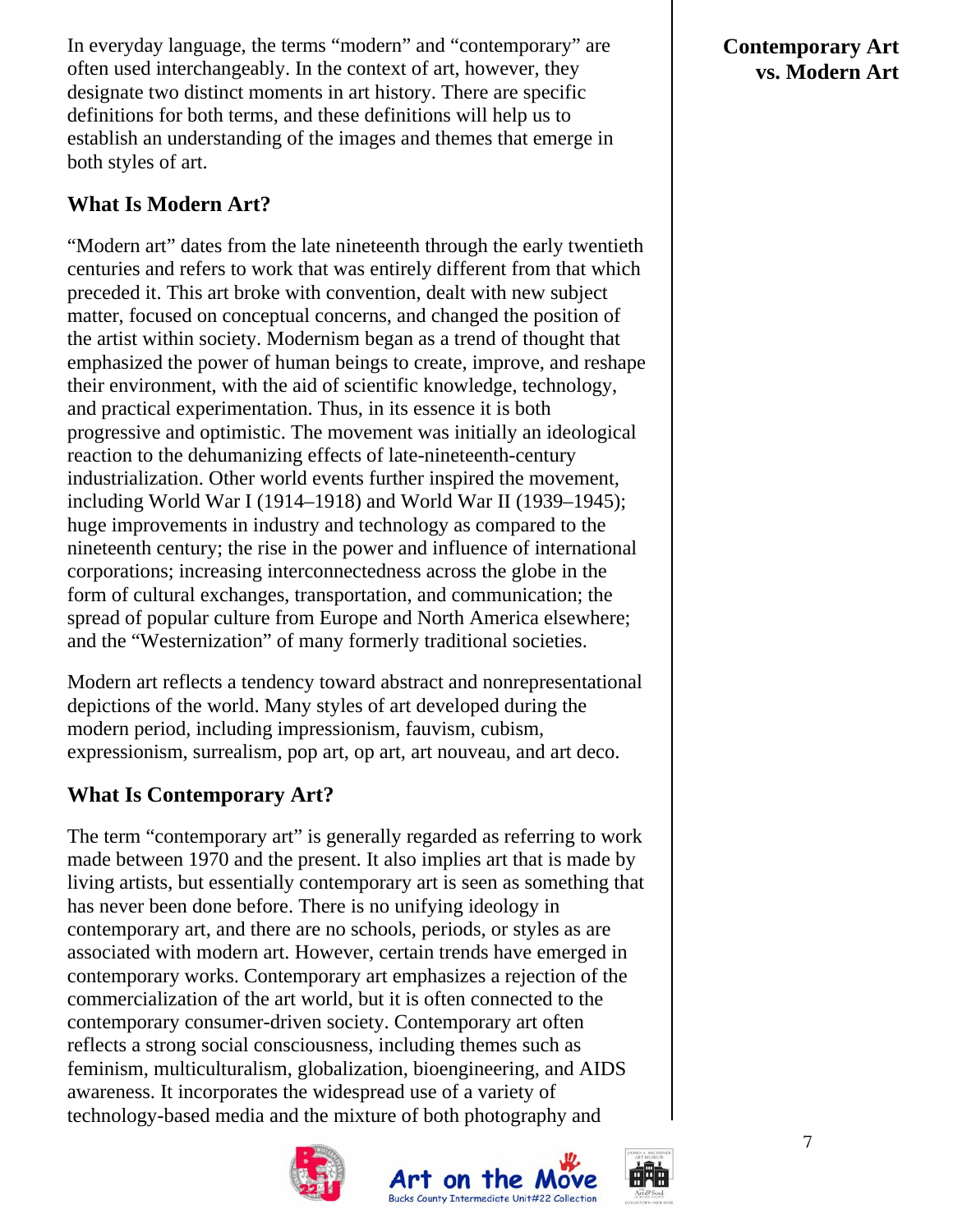In everyday language, the terms "modern" and "contemporary" are often used interchangeably. In the context of art, however, they designate two distinct moments in art history. There are specific definitions for both terms, and these definitions will help us to establish an understanding of the images and themes that emerge in both styles of art.

# **What Is Modern Art?**

"Modern art" dates from the late nineteenth through the early twentieth centuries and refers to work that was entirely different from that which preceded it. This art broke with convention, dealt with new subject matter, focused on conceptual concerns, and changed the position of the artist within society. Modernism began as a trend of thought that emphasized the power of human beings to create, improve, and reshape their environment, with the aid of scientific knowledge, technology, and practical experimentation. Thus, in its essence it is both progressive and optimistic. The movement was initially an ideological reaction to the dehumanizing effects of late-nineteenth-century industrialization. Other world events further inspired the movement, including World War I (1914–1918) and World War II (1939–1945); huge improvements in industry and technology as compared to the nineteenth century; the rise in the power and influence of international corporations; increasing interconnectedness across the globe in the form of cultural exchanges, transportation, and communication; the spread of popular culture from Europe and North America elsewhere; and the "Westernization" of many formerly traditional societies.

Modern art reflects a tendency toward abstract and nonrepresentational depictions of the world. Many styles of art developed during the modern period, including impressionism, fauvism, cubism, expressionism, surrealism, pop art, op art, art nouveau, and art deco.

## **What Is Contemporary Art?**

The term "contemporary art" is generally regarded as referring to work made between 1970 and the present. It also implies art that is made by living artists, but essentially contemporary art is seen as something that has never been done before. There is no unifying ideology in contemporary art, and there are no schools, periods, or styles as are associated with modern art. However, certain trends have emerged in contemporary works. Contemporary art emphasizes a rejection of the commercialization of the art world, but it is often connected to the contemporary consumer-driven society. Contemporary art often reflects a strong social consciousness, including themes such as feminism, multiculturalism, globalization, bioengineering, and AIDS awareness. It incorporates the widespread use of a variety of technology-based media and the mixture of both photography and







### **Contemporary Art vs. Modern Art**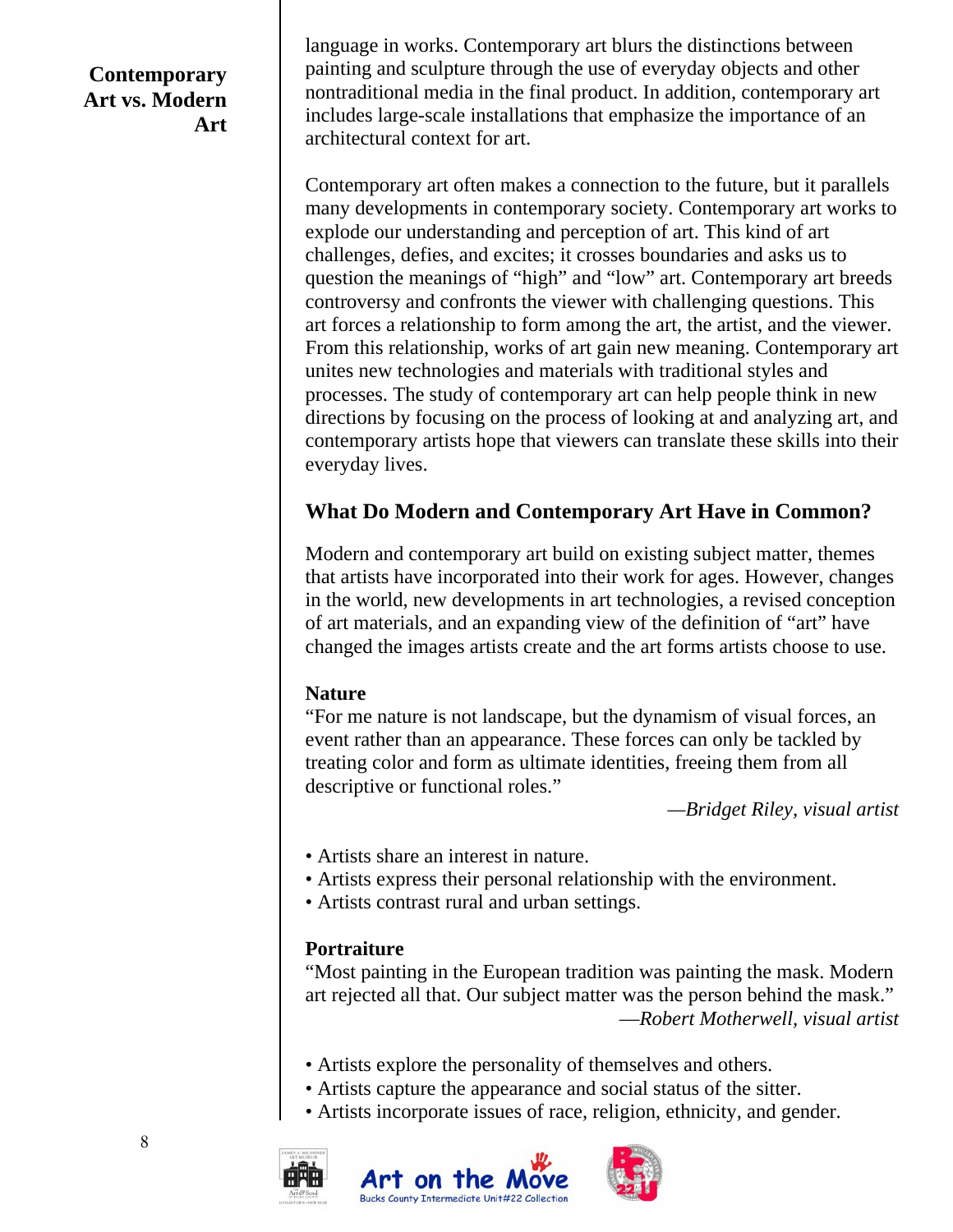## **Contemporary Art vs. Modern Art**

language in works. Contemporary art blurs the distinctions between painting and sculpture through the use of everyday objects and other nontraditional media in the final product. In addition, contemporary art includes large-scale installations that emphasize the importance of an architectural context for art.

Contemporary art often makes a connection to the future, but it parallels many developments in contemporary society. Contemporary art works to explode our understanding and perception of art. This kind of art challenges, defies, and excites; it crosses boundaries and asks us to question the meanings of "high" and "low" art. Contemporary art breeds controversy and confronts the viewer with challenging questions. This art forces a relationship to form among the art, the artist, and the viewer. From this relationship, works of art gain new meaning. Contemporary art unites new technologies and materials with traditional styles and processes. The study of contemporary art can help people think in new directions by focusing on the process of looking at and analyzing art, and contemporary artists hope that viewers can translate these skills into their everyday lives.

# **What Do Modern and Contemporary Art Have in Common?**

Modern and contemporary art build on existing subject matter, themes that artists have incorporated into their work for ages. However, changes in the world, new developments in art technologies, a revised conception of art materials, and an expanding view of the definition of "art" have changed the images artists create and the art forms artists choose to use.

#### **Nature**

"For me nature is not landscape, but the dynamism of visual forces, an event rather than an appearance. These forces can only be tackled by treating color and form as ultimate identities, freeing them from all descriptive or functional roles."

*—Bridget Riley, visual artist* 

- Artists share an interest in nature.
- Artists express their personal relationship with the environment.
- Artists contrast rural and urban settings.

### **Portraiture**

"Most painting in the European tradition was painting the mask. Modern art rejected all that. Our subject matter was the person behind the mask." —*Robert Motherwell, visual artist* 

- Artists explore the personality of themselves and others.
- Artists capture the appearance and social status of the sitter.
- Artists incorporate issues of race, religion, ethnicity, and gender.